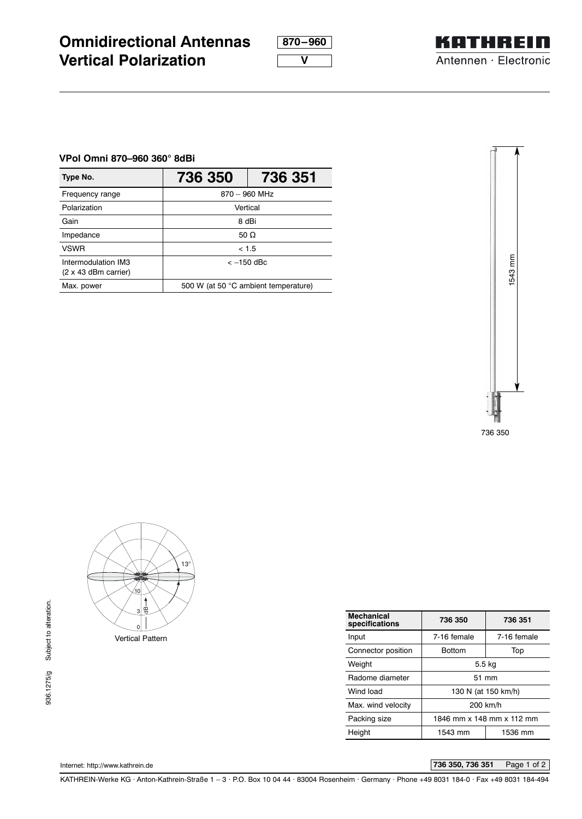**870–960 V**



## **VPol Omni 870–960 360° 8dBi**

**Vertical Polarization**

**Omnidirectional Antennas**

| Type No.                                           | 736 350                              | 736 351 |  |
|----------------------------------------------------|--------------------------------------|---------|--|
| Frequency range                                    | $870 - 960$ MHz                      |         |  |
| Polarization                                       | Vertical                             |         |  |
| Gain                                               | 8 dBi                                |         |  |
| Impedance                                          | 50 O                                 |         |  |
| <b>VSWR</b>                                        | < 1.5                                |         |  |
| Intermodulation IM3<br>$(2 \times 43$ dBm carrier) | $<-150$ dBc                          |         |  |
| Max. power                                         | 500 W (at 50 °C ambient temperature) |         |  |





| <b>Mechanical</b><br>specifications | 736 350                   | 736 351     |  |
|-------------------------------------|---------------------------|-------------|--|
| Input                               | 7-16 female               | 7-16 female |  |
| Connector position                  | <b>Bottom</b>             | Top         |  |
| Weight                              | 5.5 kg                    |             |  |
| Radome diameter                     | 51 mm                     |             |  |
| Wind load                           | 130 N (at 150 km/h)       |             |  |
| Max. wind velocity                  | 200 km/h                  |             |  |
| Packing size                        | 1846 mm x 148 mm x 112 mm |             |  |
| Height                              | 1543 mm                   | 1536 mm     |  |
|                                     |                           |             |  |

Internet: http://www.kathrein.de **736 350, 736 351** Page 1 of 2

KATHREIN-Werke KG . Anton-Kathrein-Straße 1 – 3 . P.O. Box 10 04 44 . 83004 Rosenheim . Germany . Phone +49 8031 184-0 . Fax +49 8031 184-494